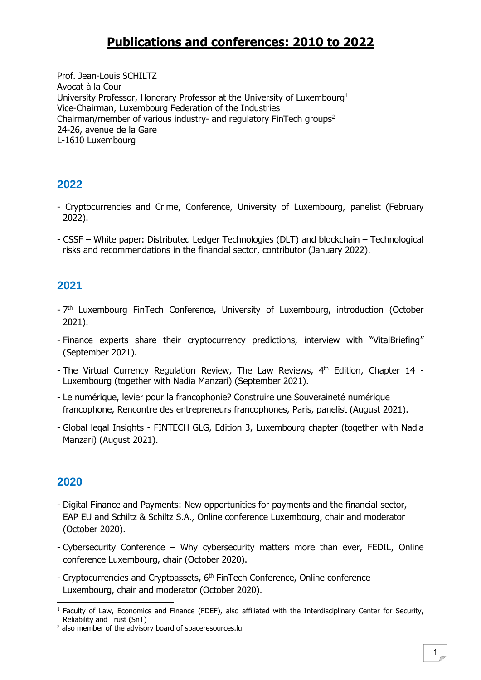# **Publications and conferences: 2010 to 2022**

Prof. Jean-Louis SCHILTZ Avocat à la Cour University Professor, Honorary Professor at the University of Luxembourg<sup>1</sup> Vice-Chairman, Luxembourg Federation of the Industries Chairman/member of various industry- and regulatory FinTech groups<sup>2</sup> 24-26, avenue de la Gare L-1610 Luxembourg

## **2022**

- Cryptocurrencies and Crime, Conference, University of Luxembourg, panelist (February 2022).
- CSSF White paper: Distributed Ledger Technologies (DLT) and blockchain Technological risks and recommendations in the financial sector, contributor (January 2022).

# **2021**

- 7<sup>th</sup> Luxembourg FinTech Conference, University of Luxembourg, introduction (October 2021).
- Finance experts share their cryptocurrency predictions, interview with "VitalBriefing" (September 2021).
- The Virtual Currency Regulation Review, The Law Reviews, 4<sup>th</sup> Edition, Chapter 14 -Luxembourg (together with Nadia Manzari) (September 2021).
- Le numérique, levier pour la francophonie? Construire une Souveraineté numérique francophone, Rencontre des entrepreneurs francophones, Paris, panelist (August 2021).
- Global legal Insights FINTECH GLG, Edition 3, Luxembourg chapter (together with Nadia Manzari) (August 2021).

- Digital Finance and Payments: New opportunities for payments and the financial sector, EAP EU and Schiltz & Schiltz S.A., Online conference Luxembourg, chair and moderator (October 2020).
- Cybersecurity Conference Why cybersecurity matters more than ever, FEDIL, Online conference Luxembourg, chair (October 2020).
- Cryptocurrencies and Cryptoassets, 6<sup>th</sup> FinTech Conference, Online conference Luxembourg, chair and moderator (October 2020).

 $1$  Faculty of Law, Economics and Finance (FDEF), also affiliated with the Interdisciplinary Center for Security, Reliability and Trust (SnT)

<sup>&</sup>lt;sup>2</sup> also member of the advisory board of spaceresources.lu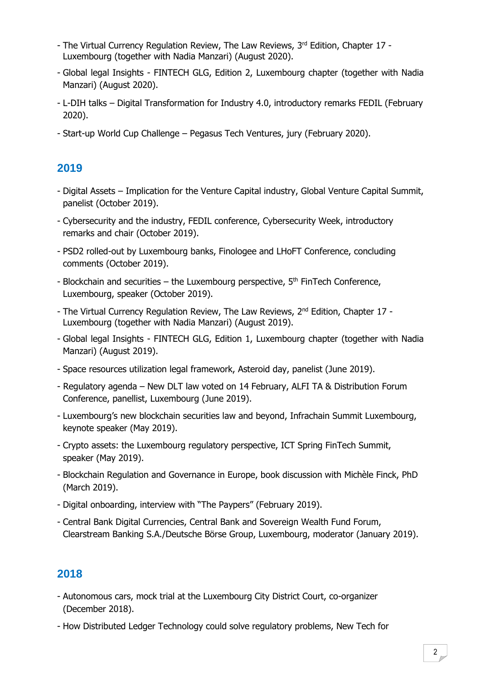- The Virtual Currency Regulation Review, The Law Reviews, 3<sup>rd</sup> Edition, Chapter 17 -Luxembourg (together with Nadia Manzari) (August 2020).
- Global legal Insights FINTECH GLG, Edition 2, Luxembourg chapter (together with Nadia Manzari) (August 2020).
- L-DIH talks Digital Transformation for Industry 4.0, introductory remarks FEDIL (February 2020).
- Start-up World Cup Challenge Pegasus Tech Ventures, jury (February 2020).

# **2019**

- Digital Assets Implication for the Venture Capital industry, Global Venture Capital Summit, panelist (October 2019).
- Cybersecurity and the industry, FEDIL conference, Cybersecurity Week, introductory remarks and chair (October 2019).
- PSD2 rolled-out by Luxembourg banks, Finologee and LHoFT Conference, concluding comments (October 2019).
- Blockchain and securities  $-$  the Luxembourg perspective,  $5<sup>th</sup>$  FinTech Conference, Luxembourg, speaker (October 2019).
- The Virtual Currency Regulation Review, The Law Reviews, 2<sup>nd</sup> Edition, Chapter 17 -Luxembourg (together with Nadia Manzari) (August 2019).
- Global legal Insights FINTECH GLG, Edition 1, Luxembourg chapter (together with Nadia Manzari) (August 2019).
- Space resources utilization legal framework, Asteroid day, panelist (June 2019).
- Regulatory agenda New DLT law voted on 14 February, ALFI TA & Distribution Forum Conference, panellist, Luxembourg (June 2019).
- Luxembourg's new blockchain securities law and beyond, Infrachain Summit Luxembourg, keynote speaker (May 2019).
- Crypto assets: the Luxembourg regulatory perspective, ICT Spring FinTech Summit, speaker (May 2019).
- Blockchain Regulation and Governance in Europe, book discussion with Michèle Finck, PhD (March 2019).
- Digital onboarding, interview with "The Paypers" (February 2019).
- Central Bank Digital Currencies, Central Bank and Sovereign Wealth Fund Forum, Clearstream Banking S.A./Deutsche Börse Group, Luxembourg, moderator (January 2019).

- Autonomous cars, mock trial at the Luxembourg City District Court, co-organizer (December 2018).
- How Distributed Ledger Technology could solve regulatory problems, New Tech for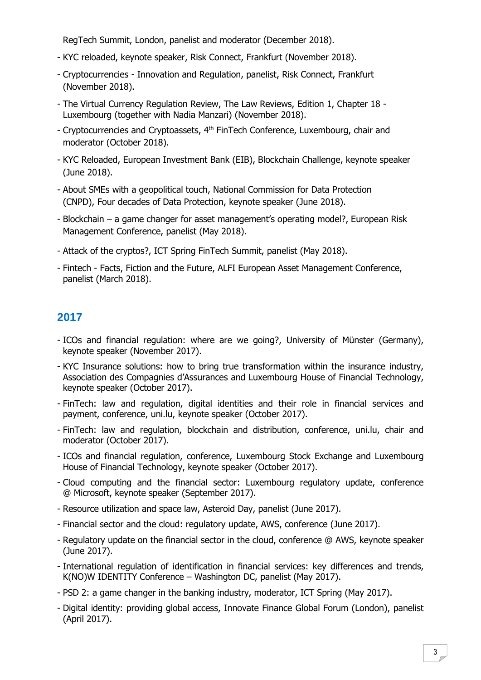RegTech Summit, London, panelist and moderator (December 2018).

- KYC reloaded, keynote speaker, Risk Connect, Frankfurt (November 2018).
- Cryptocurrencies Innovation and Regulation, panelist, Risk Connect, Frankfurt (November 2018).
- The Virtual Currency Regulation Review, The Law Reviews, Edition 1, Chapter 18 Luxembourg (together with Nadia Manzari) (November 2018).
- Cryptocurrencies and Cryptoassets, 4<sup>th</sup> FinTech Conference, Luxembourg, chair and moderator (October 2018).
- KYC Reloaded, European Investment Bank (EIB), Blockchain Challenge, keynote speaker (June 2018).
- About SMEs with a geopolitical touch, National Commission for Data Protection (CNPD), Four decades of Data Protection, keynote speaker (June 2018).
- Blockchain a game changer for asset management's operating model?, European Risk Management Conference, panelist (May 2018).
- Attack of the cryptos?, ICT Spring FinTech Summit, panelist (May 2018).
- Fintech Facts, Fiction and the Future, ALFI European Asset Management Conference, panelist (March 2018).

- ICOs and financial regulation: where are we going?, University of Münster (Germany), keynote speaker (November 2017).
- KYC Insurance solutions: how to bring true transformation within the insurance industry, Association des Compagnies d'Assurances and Luxembourg House of Financial Technology, keynote speaker (October 2017).
- FinTech: law and regulation, digital identities and their role in financial services and payment, conference, uni.lu, keynote speaker (October 2017).
- FinTech: law and regulation, blockchain and distribution, conference, uni.lu, chair and moderator (October 2017).
- ICOs and financial regulation, conference, Luxembourg Stock Exchange and Luxembourg House of Financial Technology, keynote speaker (October 2017).
- Cloud computing and the financial sector: Luxembourg regulatory update, conference @ Microsoft, keynote speaker (September 2017).
- Resource utilization and space law, Asteroid Day, panelist (June 2017).
- Financial sector and the cloud: regulatory update, AWS, conference (June 2017).
- Regulatory update on the financial sector in the cloud, conference @ AWS, keynote speaker (June 2017).
- International regulation of identification in financial services: key differences and trends, K(NO)W IDENTITY Conference – Washington DC, panelist (May 2017).
- PSD 2: a game changer in the banking industry, moderator, ICT Spring (May 2017).
- Digital identity: providing global access, Innovate Finance Global Forum (London), panelist (April 2017).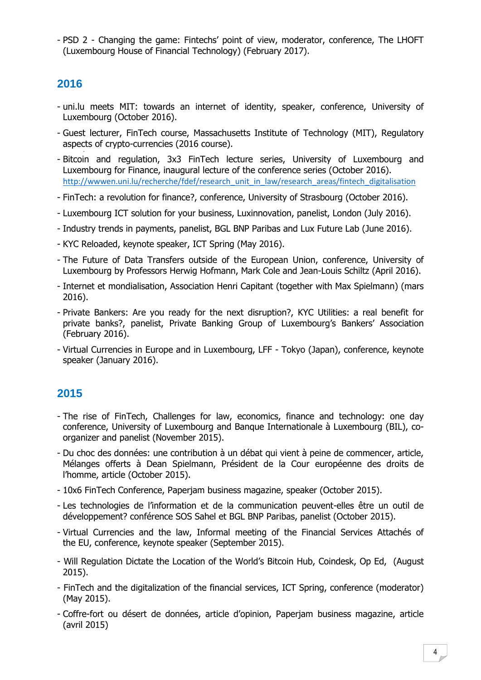- PSD 2 - Changing the game: Fintechs' point of view, moderator, conference, The LHOFT (Luxembourg House of Financial Technology) (February 2017).

#### **2016**

- uni.lu meets MIT: towards an internet of identity, speaker, conference, University of Luxembourg (October 2016).
- Guest lecturer, FinTech course, Massachusetts Institute of Technology (MIT), Regulatory aspects of crypto-currencies (2016 course). -
- Bitcoin and regulation, 3x3 FinTech lecture series, University of Luxembourg and Luxembourg for Finance, inaugural lecture of the conference series (October 2016). [http://wwwen.uni.lu/recherche/fdef/research\\_unit\\_in\\_law/research\\_areas/fintech\\_digitalisation](http://wwwen.uni.lu/recherche/fdef/research_unit_in_law/research_areas/fintech_digitalisation)
- FinTech: a revolution for finance?, conference, University of Strasbourg (October 2016).
- Luxembourg ICT solution for your business, Luxinnovation, panelist, London (July 2016).
- Industry trends in payments, panelist, BGL BNP Paribas and Lux Future Lab (June 2016).
- KYC Reloaded, keynote speaker, ICT Spring (May 2016).
- The Future of Data Transfers outside of the European Union, conference, University of Luxembourg by Professors Herwig Hofmann, Mark Cole and Jean-Louis Schiltz (April 2016).
- Internet et mondialisation, Association Henri Capitant (together with Max Spielmann) (mars 2016).
- Private Bankers: Are you ready for the next disruption?, KYC Utilities: a real benefit for private banks?, panelist, Private Banking Group of Luxembourg's Bankers' Association (February 2016).
- Virtual Currencies in Europe and in Luxembourg, LFF Tokyo (Japan), conference, keynote speaker (January 2016).

- The rise of FinTech, Challenges for law, economics, finance and technology: one day conference, University of Luxembourg and Banque Internationale à Luxembourg (BIL), coorganizer and panelist (November 2015).
- Du choc des données: une contribution à un débat qui vient à peine de commencer, article, Mélanges offerts à Dean Spielmann, Président de la Cour européenne des droits de l'homme, article (October 2015).
- 10x6 FinTech Conference, Paperjam business magazine, speaker (October 2015).
- Les technologies de l'information et de la communication peuvent-elles être un outil de développement? conférence SOS Sahel et BGL BNP Paribas, panelist (October 2015).
- Virtual Currencies and the law, Informal meeting of the Financial Services Attachés of the EU, conference, keynote speaker (September 2015).
- Will Regulation Dictate the Location of the World's Bitcoin Hub, Coindesk, Op Ed, (August 2015).
- FinTech and the digitalization of the financial services, ICT Spring, conference (moderator) (May 2015).
- Coffre-fort ou désert de données, article d'opinion, Paperjam business magazine, article (avril 2015)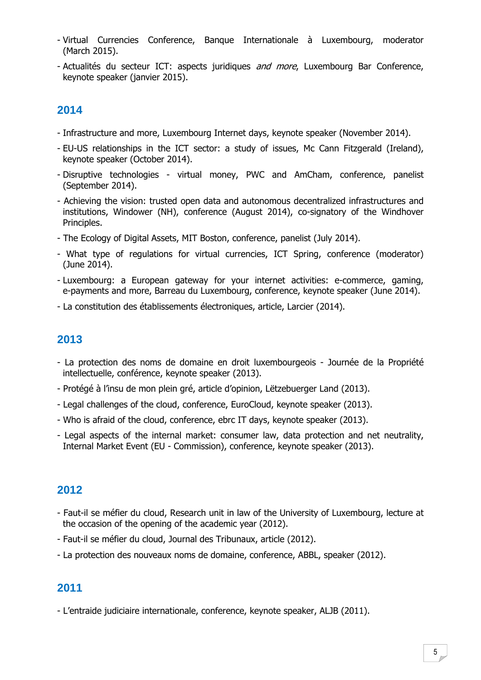- Virtual Currencies Conference, Banque Internationale à Luxembourg, moderator (March 2015).
- Actualités du secteur ICT: aspects juridiques and more, Luxembourg Bar Conference, keynote speaker (janvier 2015).

## **2014**

- Infrastructure and more, Luxembourg Internet days, keynote speaker (November 2014).
- EU-US relationships in the ICT sector: a study of issues, Mc Cann Fitzgerald (Ireland), keynote speaker (October 2014).
- Disruptive technologies virtual money, PWC and AmCham, conference, panelist (September 2014).
- Achieving the vision: trusted open data and autonomous decentralized infrastructures and institutions, Windower (NH), conference (August 2014), co-signatory of the Windhover Principles.
- The Ecology of Digital Assets, MIT Boston, conference, panelist (July 2014).
- What type of regulations for virtual currencies, ICT Spring, conference (moderator) (June 2014).
- Luxembourg: a European gateway for your internet activities: e-commerce, gaming, e-payments and more, Barreau du Luxembourg, conference, keynote speaker (June 2014).
- La constitution des établissements électroniques, article, Larcier (2014).

#### **2013**

- La protection des noms de domaine en droit luxembourgeois Journée de la Propriété intellectuelle, conférence, keynote speaker (2013).
- Protégé à l'insu de mon plein gré, article d'opinion, Lëtzebuerger Land (2013).
- Legal challenges of the cloud, conference, EuroCloud, keynote speaker (2013).
- Who is afraid of the cloud, conference, ebrc IT days, keynote speaker (2013).
- Legal aspects of the internal market: consumer law, data protection and net neutrality, Internal Market Event (EU - Commission), conference, keynote speaker (2013).

#### **2012**

- Faut-il se méfier du cloud, Research unit in law of the University of Luxembourg, lecture at the occasion of the opening of the academic year (2012).
- Faut-il se méfier du cloud, Journal des Tribunaux, article (2012).
- La protection des nouveaux noms de domaine, conference, ABBL, speaker (2012).

#### **2011**

- L'entraide judiciaire internationale, conference, keynote speaker, ALJB (2011).